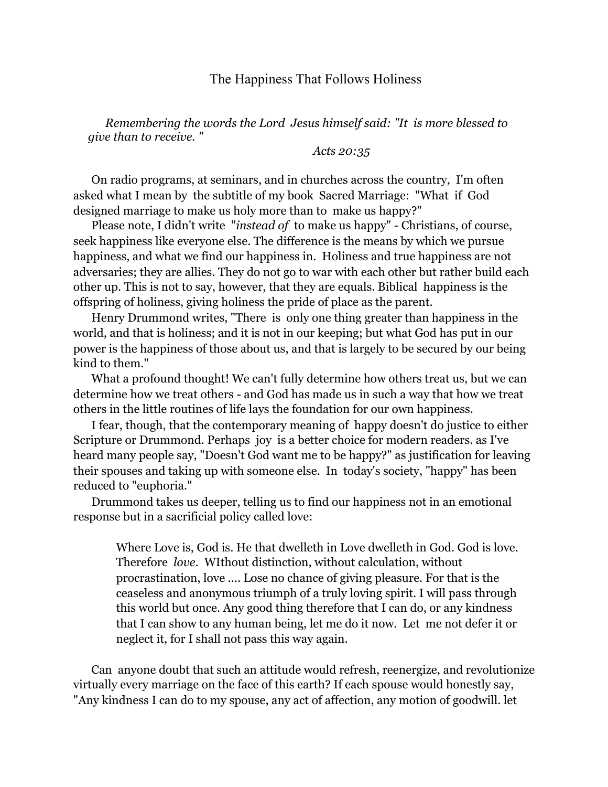## The Happiness That Follows Holiness

*Remembering the words the Lord Jesus himself said: "It is more blessed to give than to receive. "*

*Acts 20:35*

On radio programs, at seminars, and in churches across the country, I'm often asked what I mean by the subtitle of my book Sacred Marriage: "What if God designed marriage to make us holy more than to make us happy?"

Please note, I didn't write "*instead of* to make us happy" - Christians, of course, seek happiness like everyone else. The difference is the means by which we pursue happiness, and what we find our happiness in. Holiness and true happiness are not adversaries; they are allies. They do not go to war with each other but rather build each other up. This is not to say, however, that they are equals. Biblical happiness is the offspring of holiness, giving holiness the pride of place as the parent.

Henry Drummond writes, "There is only one thing greater than happiness in the world, and that is holiness; and it is not in our keeping; but what God has put in our power is the happiness of those about us, and that is largely to be secured by our being kind to them."

What a profound thought! We can't fully determine how others treat us, but we can determine how we treat others - and God has made us in such a way that how we treat others in the little routines of life lays the foundation for our own happiness.

I fear, though, that the contemporary meaning of happy doesn't do justice to either Scripture or Drummond. Perhaps joy is a better choice for modern readers. as I've heard many people say, "Doesn't God want me to be happy?" as justification for leaving their spouses and taking up with someone else. In today's society, "happy" has been reduced to "euphoria."

Drummond takes us deeper, telling us to find our happiness not in an emotional response but in a sacrificial policy called love:

 Where Love is, God is. He that dwelleth in Love dwelleth in God. God is love. Therefore *love*. WIthout distinction, without calculation, without procrastination, love .... Lose no chance of giving pleasure. For that is the ceaseless and anonymous triumph of a truly loving spirit. I will pass through this world but once. Any good thing therefore that I can do, or any kindness that I can show to any human being, let me do it now. Let me not defer it or neglect it, for I shall not pass this way again.

Can anyone doubt that such an attitude would refresh, reenergize, and revolutionize virtually every marriage on the face of this earth? If each spouse would honestly say, "Any kindness I can do to my spouse, any act of affection, any motion of goodwill. let